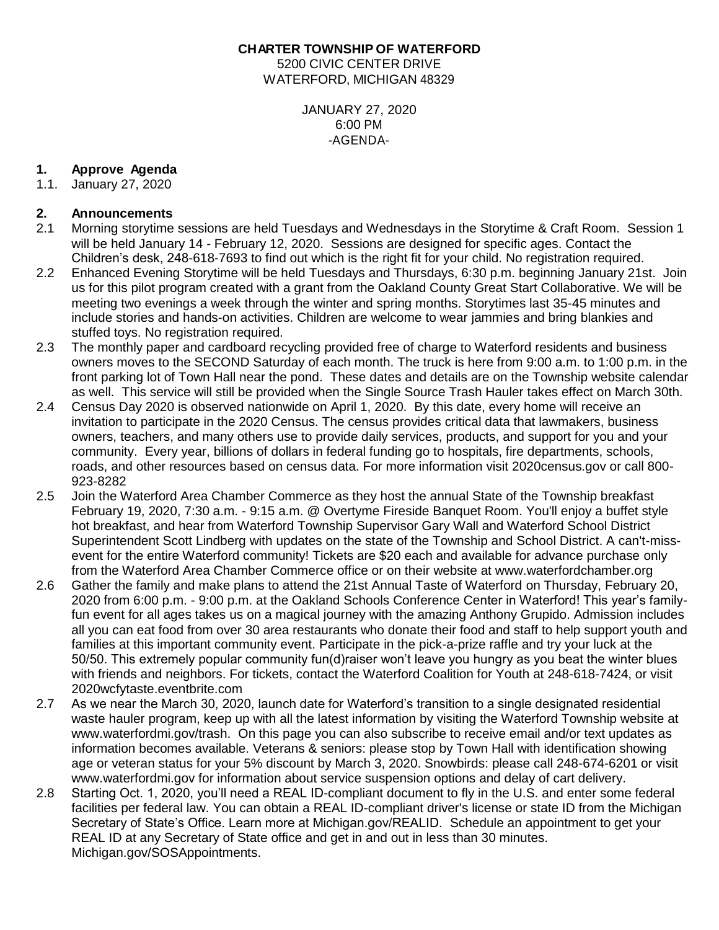**CHARTER TOWNSHIP OF WATERFORD** 5200 CIVIC CENTER DRIVE

WATERFORD, MICHIGAN 48329

JANUARY 27, 2020 6:00 PM -AGENDA-

# **1. Approve Agenda**

1.1. January 27, 2020

# **2. Announcements**

- 2.1 Morning storytime sessions are held Tuesdays and Wednesdays in the Storytime & Craft Room. Session 1 will be held January 14 - February 12, 2020. Sessions are designed for specific ages. Contact the Children's desk, 248-618-7693 to find out which is the right fit for your child. No registration required.
- 2.2 Enhanced Evening Storytime will be held Tuesdays and Thursdays, 6:30 p.m. beginning January 21st. Join us for this pilot program created with a grant from the Oakland County Great Start Collaborative. We will be meeting two evenings a week through the winter and spring months. Storytimes last 35-45 minutes and include stories and hands-on activities. Children are welcome to wear jammies and bring blankies and stuffed toys. No registration required.
- 2.3 The monthly paper and cardboard recycling provided free of charge to Waterford residents and business owners moves to the SECOND Saturday of each month. The truck is here from 9:00 a.m. to 1:00 p.m. in the front parking lot of Town Hall near the pond. These dates and details are on the Township website calendar as well. This service will still be provided when the Single Source Trash Hauler takes effect on March 30th.
- 2.4 Census Day 2020 is observed nationwide on April 1, 2020. By this date, every home will receive an invitation to participate in the 2020 Census. The census provides critical data that lawmakers, business owners, teachers, and many others use to provide daily services, products, and support for you and your community. Every year, billions of dollars in federal funding go to hospitals, fire departments, schools, roads, and other resources based on census data. For more information visit 2020census.gov or call 800- 923-8282
- 2.5 Join the Waterford Area Chamber Commerce as they host the annual State of the Township breakfast February 19, 2020, 7:30 a.m. - 9:15 a.m. @ Overtyme Fireside Banquet Room. You'll enjoy a buffet style hot breakfast, and hear from Waterford Township Supervisor Gary Wall and Waterford School District Superintendent Scott Lindberg with updates on the state of the Township and School District. A can't-missevent for the entire Waterford community! Tickets are \$20 each and available for advance purchase only from the Waterford Area Chamber Commerce office or on their website at [www.waterfordchamber.org](http://www.waterfordchamber.org/)
- 2.6 Gather the family and make plans to attend the 21st Annual Taste of Waterford on Thursday, February 20, 2020 from 6:00 p.m. - 9:00 p.m. at the Oakland Schools Conference Center in Waterford! This year's familyfun event for all ages takes us on a magical journey with the amazing Anthony Grupido. Admission includes all you can eat food from over 30 area restaurants who donate their food and staff to help support youth and families at this important community event. Participate in the pick-a-prize raffle and try your luck at the 50/50. This extremely popular community fun(d)raiser won't leave you hungry as you beat the winter blues with friends and neighbors. For tickets, contact the Waterford Coalition for Youth at 248-618-7424, or visit 2020wcfytaste.eventbrite.com
- 2.7 As we near the March 30, 2020, launch date for Waterford's transition to a single designated residential waste hauler program, keep up with all the latest information by visiting the Waterford Township website at www.waterfordmi.gov/trash. On this page you can also subscribe to receive email and/or text updates as information becomes available. Veterans & seniors: please stop by Town Hall with identification showing age or veteran status for your 5% discount by March 3, 2020. Snowbirds: please call 248-674-6201 or visit www.waterfordmi.gov for information about service suspension options and delay of cart delivery.
- 2.8 Starting Oct. 1, 2020, you'll need a REAL ID-compliant document to fly in the U.S. and enter some federal facilities per federal law. You can obtain a REAL ID-compliant driver's license or state ID from the Michigan Secretary of State's Office. Learn more at Michigan.gov/REALID. Schedule an appointment to get your REAL ID at any Secretary of State office and get in and out in less than 30 minutes. Michigan.gov/SOSAppointments.